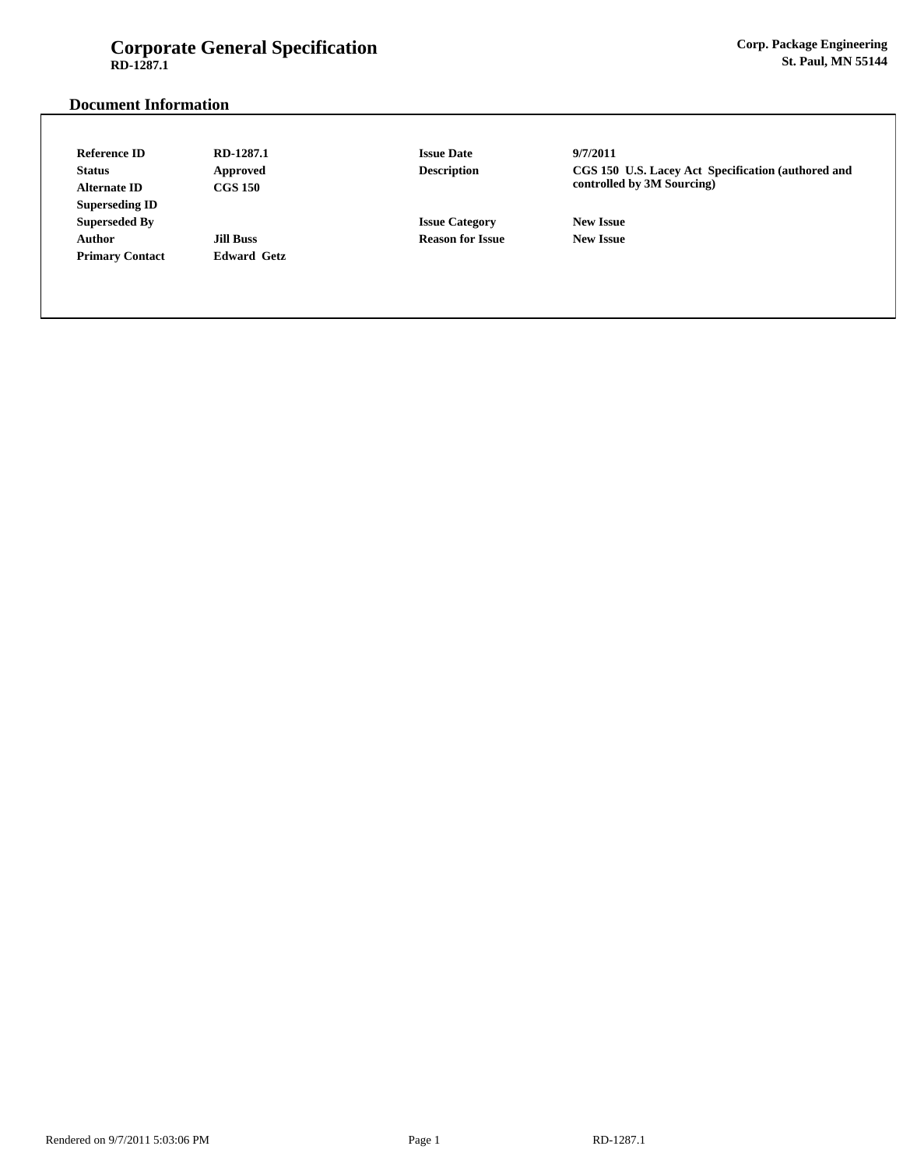# **Corporate General Specification RD-1287.1**

# **Document Information**

| <b>Reference ID</b>    | RD-1287.1          | <b>Issue Date</b>       | 9/7/2011                                                                         |  |
|------------------------|--------------------|-------------------------|----------------------------------------------------------------------------------|--|
| <b>Status</b>          | Approved           | <b>Description</b>      | CGS 150 U.S. Lacey Act Specification (authored and<br>controlled by 3M Sourcing) |  |
| <b>Alternate ID</b>    | <b>CGS 150</b>     |                         |                                                                                  |  |
| <b>Superseding ID</b>  |                    |                         |                                                                                  |  |
| <b>Superseded By</b>   |                    | <b>Issue Category</b>   | <b>New Issue</b>                                                                 |  |
| Author                 | <b>Jill Buss</b>   | <b>Reason for Issue</b> | <b>New Issue</b>                                                                 |  |
| <b>Primary Contact</b> | <b>Edward Getz</b> |                         |                                                                                  |  |
|                        |                    |                         |                                                                                  |  |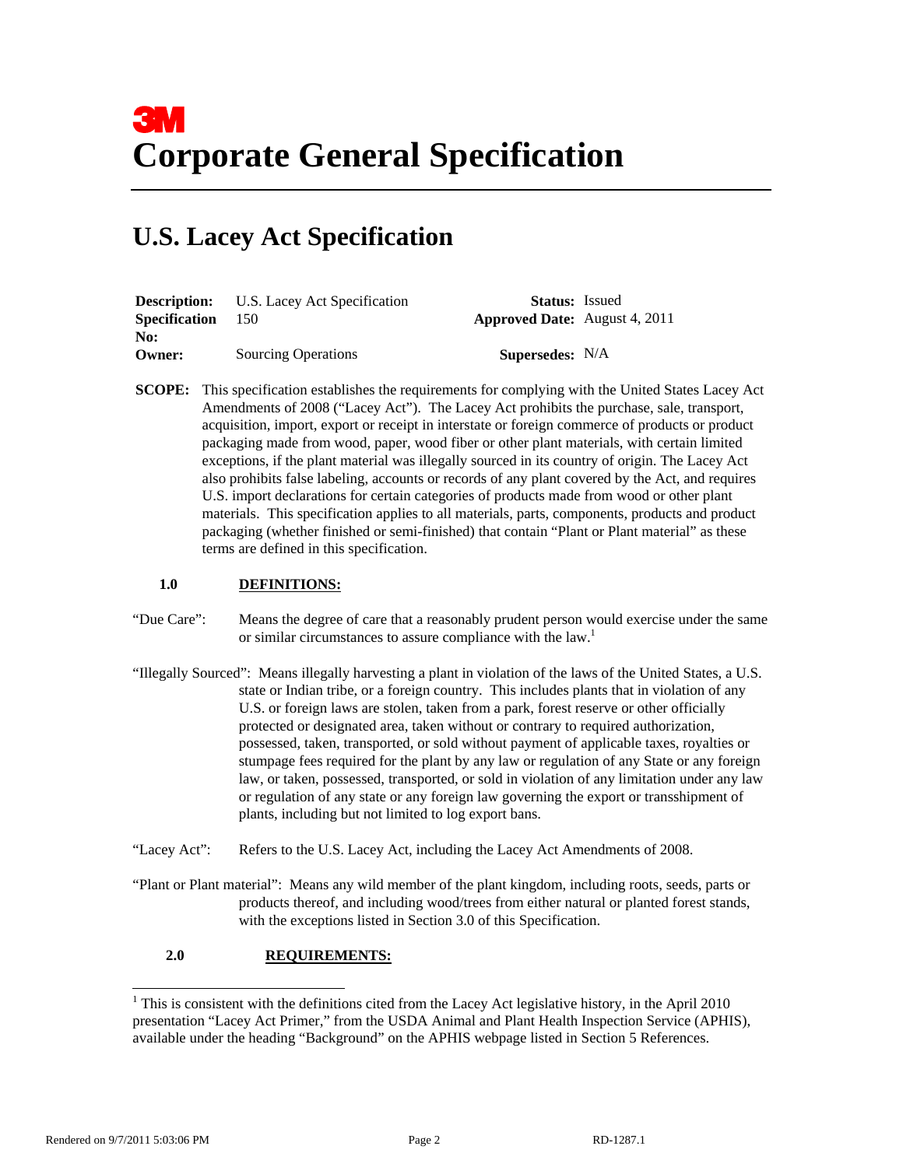# **U.S. Lacey Act Specification**

|                      | <b>Description:</b> U.S. Lacey Act Specification | <b>Status:</b> Issued                |  |
|----------------------|--------------------------------------------------|--------------------------------------|--|
| <b>Specification</b> | - 150                                            | <b>Approved Date:</b> August 4, 2011 |  |
| No:                  |                                                  |                                      |  |
| Owner:               | <b>Sourcing Operations</b>                       | <b>Supersedes:</b> N/A               |  |

**SCOPE:** This specification establishes the requirements for complying with the United States Lacey Act Amendments of 2008 ("Lacey Act"). The Lacey Act prohibits the purchase, sale, transport, acquisition, import, export or receipt in interstate or foreign commerce of products or product packaging made from wood, paper, wood fiber or other plant materials, with certain limited exceptions, if the plant material was illegally sourced in its country of origin. The Lacey Act also prohibits false labeling, accounts or records of any plant covered by the Act, and requires U.S. import declarations for certain categories of products made from wood or other plant materials. This specification applies to all materials, parts, components, products and product packaging (whether finished or semi-finished) that contain "Plant or Plant material" as these terms are defined in this specification.

## **1.0 DEFINITIONS:**

- "Due Care": Means the degree of care that a reasonably prudent person would exercise under the same or similar circumstances to assure compliance with the law.<sup>1</sup>
- "Illegally Sourced": Means illegally harvesting a plant in violation of the laws of the United States, a U.S. state or Indian tribe, or a foreign country. This includes plants that in violation of any U.S. or foreign laws are stolen, taken from a park, forest reserve or other officially protected or designated area, taken without or contrary to required authorization, possessed, taken, transported, or sold without payment of applicable taxes, royalties or stumpage fees required for the plant by any law or regulation of any State or any foreign law, or taken, possessed, transported, or sold in violation of any limitation under any law or regulation of any state or any foreign law governing the export or transshipment of plants, including but not limited to log export bans.
- "Lacey Act": Refers to the U.S. Lacey Act, including the Lacey Act Amendments of 2008.
- "Plant or Plant material": Means any wild member of the plant kingdom, including roots, seeds, parts or products thereof, and including wood/trees from either natural or planted forest stands, with the exceptions listed in Section 3.0 of this Specification.

## **2.0 REQUIREMENTS:**

-

<sup>&</sup>lt;sup>1</sup> This is consistent with the definitions cited from the Lacey Act legislative history, in the April 2010 presentation "Lacey Act Primer," from the USDA Animal and Plant Health Inspection Service (APHIS), available under the heading "Background" on the APHIS webpage listed in Section 5 References.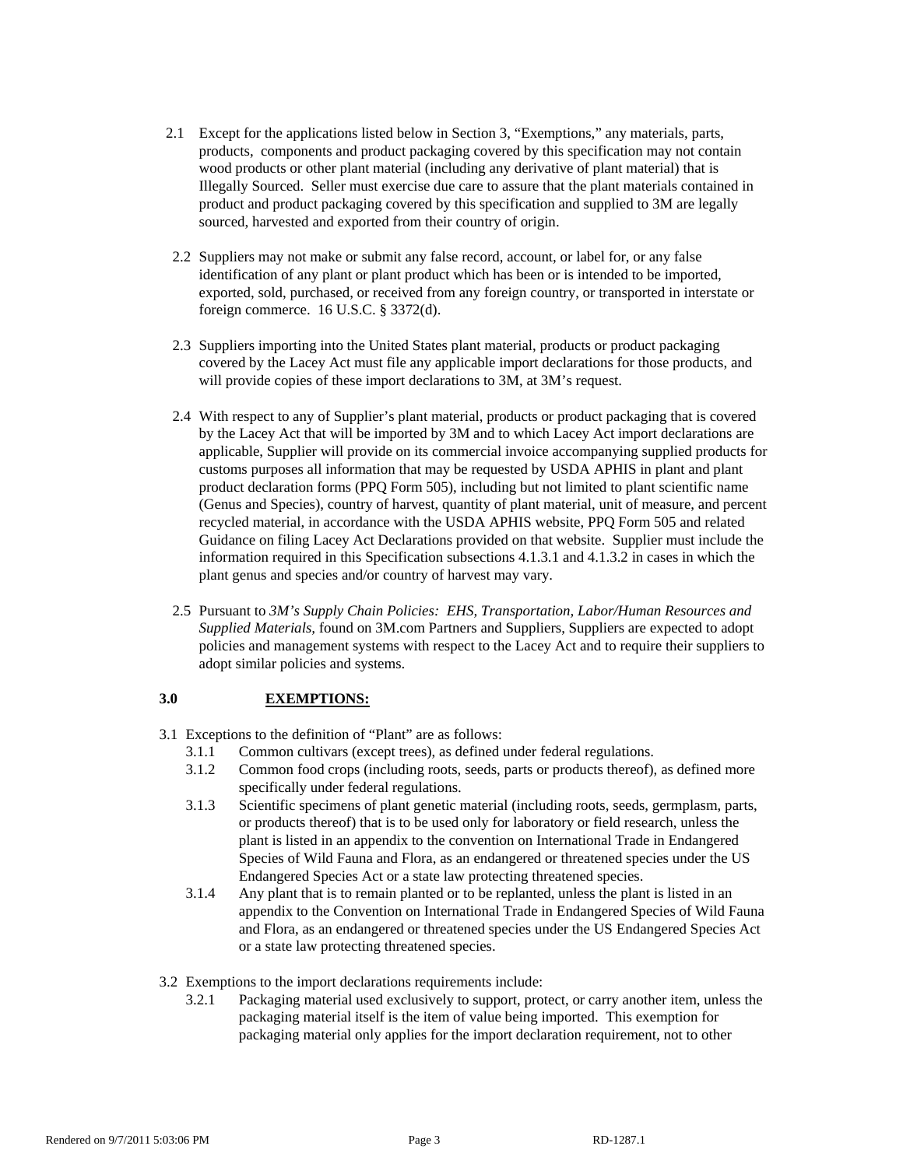- 2.1 Except for the applications listed below in Section 3, "Exemptions," any materials, parts, products, components and product packaging covered by this specification may not contain wood products or other plant material (including any derivative of plant material) that is Illegally Sourced. Seller must exercise due care to assure that the plant materials contained in product and product packaging covered by this specification and supplied to 3M are legally sourced, harvested and exported from their country of origin.
- 2.2 Suppliers may not make or submit any false record, account, or label for, or any false identification of any plant or plant product which has been or is intended to be imported, exported, sold, purchased, or received from any foreign country, or transported in interstate or foreign commerce. 16 U.S.C. § 3372(d).
- 2.3 Suppliers importing into the United States plant material, products or product packaging covered by the Lacey Act must file any applicable import declarations for those products, and will provide copies of these import declarations to 3M, at 3M's request.
- 2.4 With respect to any of Supplier's plant material, products or product packaging that is covered by the Lacey Act that will be imported by 3M and to which Lacey Act import declarations are applicable, Supplier will provide on its commercial invoice accompanying supplied products for customs purposes all information that may be requested by USDA APHIS in plant and plant product declaration forms (PPQ Form 505), including but not limited to plant scientific name (Genus and Species), country of harvest, quantity of plant material, unit of measure, and percent recycled material, in accordance with the USDA APHIS website, PPQ Form 505 and related Guidance on filing Lacey Act Declarations provided on that website. Supplier must include the information required in this Specification subsections 4.1.3.1 and 4.1.3.2 in cases in which the plant genus and species and/or country of harvest may vary.
- 2.5 Pursuant to *3M's Supply Chain Policies: EHS, Transportation, Labor/Human Resources and Supplied Materials,* found on 3M.com Partners and Suppliers, Suppliers are expected to adopt policies and management systems with respect to the Lacey Act and to require their suppliers to adopt similar policies and systems.

## **3.0 EXEMPTIONS:**

- 3.1 Exceptions to the definition of "Plant" are as follows:
	- 3.1.1 Common cultivars (except trees), as defined under federal regulations.
	- 3.1.2 Common food crops (including roots, seeds, parts or products thereof), as defined more specifically under federal regulations.
	- 3.1.3 Scientific specimens of plant genetic material (including roots, seeds, germplasm, parts, or products thereof) that is to be used only for laboratory or field research, unless the plant is listed in an appendix to the convention on International Trade in Endangered Species of Wild Fauna and Flora, as an endangered or threatened species under the US Endangered Species Act or a state law protecting threatened species.
	- 3.1.4 Any plant that is to remain planted or to be replanted, unless the plant is listed in an appendix to the Convention on International Trade in Endangered Species of Wild Fauna and Flora, as an endangered or threatened species under the US Endangered Species Act or a state law protecting threatened species.
- 3.2 Exemptions to the import declarations requirements include:
	- 3.2.1 Packaging material used exclusively to support, protect, or carry another item, unless the packaging material itself is the item of value being imported. This exemption for packaging material only applies for the import declaration requirement, not to other